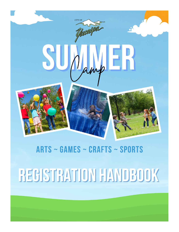

### **ARTS ~ GAMES ~ CRAFTS ~ SPORTS**

# REGISTRATION HANDBOOK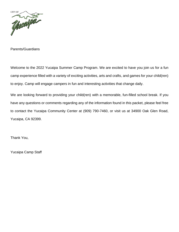

Parents/Guardians

Welcome to the 2022 Yucaipa Summer Camp Program. We are excited to have you join us for a fun camp experience filled with a variety of exciting activities, arts and crafts, and games for your child(ren) to enjoy. Camp will engage campers in fun and interesting activities that change daily.

We are looking forward to providing your child(ren) with a memorable, fun-filled school break. If you have any questions or comments regarding any of the information found in this packet, please feel free to contact the Yucaipa Community Center at (909) 790-7460, or visit us at 34900 Oak Glen Road, Yucaipa, CA 92399.

Thank You,

Yucaipa Camp Staff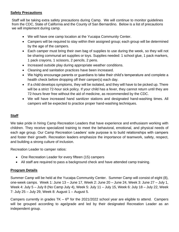#### **Safety Precautions**

Staff will be taking extra safety precautions during Camp. We will continue to monitor guidelines from the CDC, State of California and the County of San Bernardino. Below is a list of precautions we will implement during camp.

- We will have one camp location at the Yucaipa Community Center.
- Campers will be required to stay within their assigned group; each group will be determined by the age of the campers.
- Each camper must bring their own bag of supplies to use during the week, so they will not be sharing communal art supplies or toys. Supplies needed: 1 school glue, 1 pack markers, 1 pack crayons, 1 scissors, 2 pencils, 2 pens.
- Increased outside play during appropriate weather conditions.
- Cleaning and sanitation practices have been increased.
- We highly encourage parents or guardians to take their child's temperature and complete a health check before dropping off their camper(s) each day.
- If a child develops symptoms, they will be isolated, and they will have to be picked up. There will be a strict 72-hour sick policy. If your child has a fever, they cannot return until they are 72-hours fever free without the aid of medicine, as recommended by the CDC.
- We will have increased hand sanitizer stations and designated hand-washing times. All campers will be expected to practice proper hand-washing techniques.

#### **Staff**

We take pride in hiring Camp Recreation Leaders that have experience and enthusiasm working with children. They receive specialized training to meet the behavioral, emotional, and physical needs of each age group. Our Camp Recreation Leaders' sole purpose is to build relationships with campers and foster their growth. Recreation leaders emphasize the importance of teamwork, safety, respect, and building a strong culture of inclusion.

Recreation Leader to camper ratios:

- One Recreation Leader for every fifteen (15) campers
- All staff are required to pass a background check and have attended camp training.

#### **Program Details**

Summer Camp will be held at the Yucaipa Community Center. Summer Camp will consist of eight (8), one-week camps. Week 1: June 13 – June 17, Week 2: June 20 – June 24, Week 3: June 27 – July 1, Week 4: July 5 – July 8 (No Camp July 4), Week 5: July 11 – July 15, Week 6: July 18 – July 22, Week 7: July 25 – July 29, Week 8: August 1 – August 5.

Campers currently in grades  $TK - 6<sup>th</sup>$  for the 2021/2022 school year are eligible to attend. Campers will be grouped according to age/grade and led by their designated Recreation Leader as an independent group.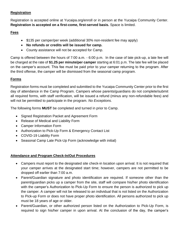#### **Registration**

Registration is accepted online at Yucaipa.org/enroll or in person at the Yucaipa Community Center. **Registration is accepted on a first-come, first-served basis.** Space is limited.

#### **Fees**

- \$135 per camper/per week (additional 30% non-resident fee may apply)
- **No refunds or credits will be issued for camp.**
- County assistance will not be accepted for Camp.

Camp is offered between the hours of 7:00 a.m. - 6:00 p.m. In the case of late pick-up, a late fee will be charged at the rate of **\$1.25 per minute/per camper** starting at 6:01 p.m. The late fee will be placed on the camper's account. This fee must be paid prior to your camper returning to the program. After the third offense, the camper will be dismissed from the seasonal camp program.

#### **Forms**

Registration forms must be completed and submitted to the Yucaipa Community Center prior to the first day of attendance in the Camp Program. Campers whose parents/guardians do not complete/submit all required forms, with staff verification, will be issued a refund (minus any non-refundable fees) and will not be permitted to participate in the program. *No Exceptions.* 

The following forms **MUST** be completed and turned in prior to Camp.

- Signed Registration Packet and Agreement Form
- Release of Medical and Liability Form
- Camper Information Form
- Authorization to Pick-Up Form & Emergency Contact List
- COVID-19 Liability Form
- Seasonal Camp Late Pick-Up Form (acknowledge with initial)

#### **Attendance and Program Check-In/Out Procedures**

- Campers must report to the designated site check-in location upon arrival. It is not required that your camper arrives at the designated start time; however, campers are not permitted to be dropped off earlier than 7:00 a.m.
- Parent/Guardian signature and photo identification are required. If someone other than the parent/guardian picks up a camper from the site, staff will compare his/her photo identification with the camper's Authorization to Pick-Up Form to ensure the person is authorized to pick up the camper. A camper will not be released to an individual that is not listed on the Authorization to Pick-up Form or does not have proper photo identification. All persons authorized to pick up must be 18 years of age or older.
- Parent/Guardian, or other authorized person listed on the Authorization to Pick-Up Form, is required to sign his/her camper in upon arrival. At the conclusion of the day, the camper's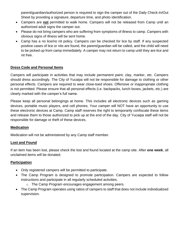parent/guardian/authorized person is required to sign the camper out of the Daily Check-In/Out Sheet by providing a signature, departure time, and photo identification.

- Campers are **not** permitted to walk home. Campers will not be released from Camp until an authorized adult signs the camper out.
- Please do not bring campers who are suffering from symptoms of illness to camp. Campers with obvious signs of illness will be sent home.
- Camp has a no lice/no nit policy. Campers can be checked for lice by staff. If any suspected positive cases of lice or nits are found, the parent/guardian will be called, and the child will need to be picked up from camp immediately. A camper may not return to camp until they are lice and nit free.

#### **Dress Code and Personal Items**

Campers will participate in activities that may include permanent paint, clay, marker, etc. Campers should dress accordingly. The City of Yucaipa will not be responsible for damage to clothing or other personal effects. Campers are required to wear close-toed shoes. Offensive or inappropriate clothing is not permitted. Please ensure that all personal effects (i.e. backpacks, lunch boxes, jackets, etc.) are clearly marked with the camper's full name.

Please keep all personal belongings at home. This includes all electronic devices such as gaming devices, portable music players, and cell phones. Your camper will NOT have an opportunity to use these electronic devices at Camp. Camp staff reserves the right to temporarily confiscate these items and release them to those authorized to pick up at the end of the day. City of Yucaipa staff will not be responsible for damage or theft of these devices.

#### **Medication**

Medication will not be administered by any Camp staff member.

#### **Lost and Found**

If an item has been lost, please check the lost and found located at the camp site. After **one week**, all unclaimed items will be donated.

#### **Participation**

- Only registered campers will be permitted to participate.
- The Camp Program is designed to promote participation. Campers are expected to follow instructions and participate in all regularly scheduled activities.
	- o The Camp Program encourages engagement among peers.
- The Camp Program operates using ratios of campers to staff that does not include individualized supervision.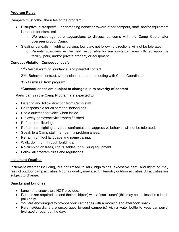#### **Program Rules**

Campers must follow the rules of the program.

- Disruptive, disrespectful, or damaging behavior toward other campers, staff, and/or equipment is reason for dismissal.
	- o We encourage parents/guardians to discuss concerns with the Camp Coordinator overseeing your Camp.
- Stealing, vandalism, fighting, cursing, foul play, not following directions will not be tolerated.
	- $\circ$  Parents/Guardians will be held responsible for any costs/damages inflicted upon the facility, park, and/or private property or equipment.

#### **Conduct Violation Consequences\*:**

1<sup>st</sup> - Verbal warning, guidance, and parental contact

2<sup>nd</sup> - Behavior contract, suspension, and parent meeting with Camp Coordinator

3<sup>rd</sup> - Dismissal from program

#### **\*Consequences are subject to change due to severity of content**

Participants in the Camp Program are expected to:

- Listen to and follow direction from Camp staff.
- Be responsible for all personal belongings.
- Use a quiet/indoor voice when inside.
- Put away games/activities when finished.
- Refrain from littering.
- Refrain from fighting or verbal confrontations; aggressive behavior will not be tolerated.
- Speak to a Camp staff member if a problem arises.
- Refrain from foul language and name calling.
- Walk, don't run, through buildings.
- No climbing on trees, chairs, tables, or building equipment.
- Follow all program rules and regulations.

#### **Inclement Weather**

Inclement weather including, but not limited to rain, high winds, excessive heat, and lightning may restrict outdoor camp activities. Poor air quality may also limit/modify outdoor activities. All activities are subject to change.

#### **Snacks and Lunches**

- Lunch and snacks are NOT provided.
- Parents are required to send their child(ren) with a "sack lunch" (this may be enclosed in a lunch pail) daily.
- You are encouraged to provide your camper(s) with a morning and afternoon snack.
- Parents/Guardians are encouraged to send camper(s) with a water bottle to keep camper(s) hydrated throughout the day.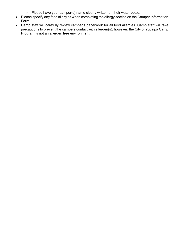- o Please have your camper(s) name clearly written on their water bottle.
- Please specify any food allergies when completing the allergy section on the Camper Information Form.
- Camp staff will carefully review camper's paperwork for all food allergies. Camp staff will take precautions to prevent the campers contact with allergen(s), however, the City of Yucaipa Camp Program is not an allergen free environment.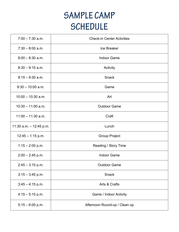## **SAMPLE CAMP SCHEDULE**

| $7:00 - 7:30$ a.m.        | <b>Check-in Center Activities</b> |  |  |
|---------------------------|-----------------------------------|--|--|
| $7:30 - 8:00$ a.m.        | Ice Breaker                       |  |  |
| $8:00 - 8:30$ a.m.        | <b>Indoor Game</b>                |  |  |
| $8:30 - 9:15$ a.m.        | Activity                          |  |  |
| $9:15 - 9:30$ a.m.        | <b>Snack</b>                      |  |  |
| $9:30 - 10:00$ a.m.       | Game                              |  |  |
| $10:00 - 10:30$ a.m.      | Art                               |  |  |
| $10:30 - 11:00$ a.m.      | <b>Outdoor Game</b>               |  |  |
| $11:00 - 11:30$ a.m.      | Craft                             |  |  |
| 11:30 a.m. $-$ 12:45 p.m. | Lunch                             |  |  |
| $12:45 - 1:15$ p.m.       | <b>Group Project</b>              |  |  |
| $1:15 - 2:00$ p.m.        | Reading / Story Time              |  |  |
| $2:00 - 2:45$ p.m.        | <b>Indoor Game</b>                |  |  |
| $2:45 - 3:15$ p.m.        | <b>Outdoor Game</b>               |  |  |
| $3:15 - 3:45$ p.m.        | Snack                             |  |  |
| $3:45 - 4:15$ p.m.        | Arts & Crafts                     |  |  |
| $4:15 - 5:15$ p.m.        | Game / Indoor Activity            |  |  |
| $5:15 - 6:00$ p.m.        | Afternoon Round-up / Clean up     |  |  |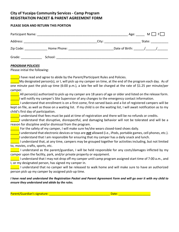#### **City of Yucaipa Community Services - Camp Program REGISTRATION PACKET & PARENT AGREEMENT FORM**

#### **PLEASE SIGN AND RETURN THIS PORTION**

| Participant Name: |             |       | Age: | M     F                                                                                                                                                                                                                        |
|-------------------|-------------|-------|------|--------------------------------------------------------------------------------------------------------------------------------------------------------------------------------------------------------------------------------|
| Address:          |             | City: |      | State: when the state of the state of the state of the state of the state of the state of the state of the state of the state of the state of the state of the state of the state of the state of the state of the state of th |
| Zip Code:         | Home Phone: |       |      | Date of Birth: / /                                                                                                                                                                                                             |
| Grade:            | School:     |       |      |                                                                                                                                                                                                                                |

#### *PROGRAM POLICIES*

Please initial the following:

I have read and agree to abide by the Parent/Participant Rules and Policies.

My designated person(s), or I, will pick up my camper on time, at the end of the program each day. As of one minute past the pick-up time (6:00 p.m.), a late fee will be charged at the rate of \$1.25 per minute/per camper.

\_\_\_\_\_ All person(s) authorized to pick up my camper are 18 years of age or older and listed on the release form. I will notify my camper's Site Supervisor of any changes to the emergency contact information.

\_\_\_\_\_ I understand that enrollment is on a first-come, first-served basis and a list of registered campers will be kept on file, as well as those on a waiting list. If my child is on the waiting list, I will await notification as to my child's first day of participation.

\_\_\_\_\_I understand that fees must be paid at time of registration and there will be no refunds or credits.

\_\_\_\_\_I understand that disruptive, disrespectful, and damaging behavior will not be tolerated and will be a reason for discipline and/or dismissal from the program.

For the safety of my camper, I will make sure he/she wears closed-toed shoes daily.

\_\_\_\_\_I understand that electronic devices or toys are *not* allowed (i.e., iPods, portable games, cell phones, etc.). I understand that I am responsible for ensuring that my camper has a daily snack and lunch.

 $\blacksquare$  I understand that, at any time, campers may be grouped together for activities including, but not limited to, movies, crafts, sports, etc.

I understand as the parent/guardian, I will be held responsible for any costs/damages inflicted by my camper upon the facility, park, and/or private property or equipment.

\_\_\_\_\_ I understand that I may not drop off my camper until camp program assigned start time of 7:00 a.m., and I, or my designated person, has signed my camper in.

\_\_\_\_\_ I understand that no camper will be released to walk home and will make sure to have an authorized person pick up my camper by assigned pick-up time.

#### *I have read and understand the Registration Packet and Parent Agreement Form and will go over it with my child to ensure they understand and abide by the rules.*

Parent/Guardian's signature: \_\_\_\_\_\_\_\_\_\_\_\_\_\_\_\_\_\_\_\_\_\_\_\_\_\_\_\_\_\_\_\_\_\_\_\_\_\_ Date: \_\_\_\_\_\_\_\_\_\_\_\_\_\_\_\_\_\_\_\_

| )ate: |  |  |  |  |  |  |
|-------|--|--|--|--|--|--|
|       |  |  |  |  |  |  |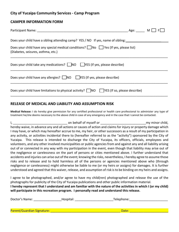#### **City of Yucaipa Community Services - Camp Program**

#### **CAMPER INFORMATION FORM**

| Age: $\_\_$<br>M <sub>1</sub>                                                                                                         |
|---------------------------------------------------------------------------------------------------------------------------------------|
| Does your child have a sibling attending camp? YES / NO If yes, name of sibling:                                                      |
| Does your child have any special medical conditions? $\Box$ No $\Box$ Yes (If yes, please list)<br>(Diabetes, seizures, asthma, etc.) |
| Does your child take any medications? $\Box$ NO $\Box$ YES (If yes, please describe)                                                  |
| Does your child have any allergies? $\Box$ NO $\Box$ YES (If yes, please describe)                                                    |
| Does your child have limitations to physical activity? $\Box$ NO $\Box$ YES (If so, please describe)                                  |

#### **RELEASE OF MEDICAL AND LIABILITY AND ASSUMPTION RISK**

**Medical Release:** I do hereby give permission for any certified professional or health care professional to administer any type of treatment he/she deems necessary to the above child in case of any emergency and in the case that I cannot be contacted.

I, the contract of the set of the behalf of myself or the contract of the contract of the contract of the contract of the contract of the contract of the contract of the contract of the contract of the contract of the cont hereby waive, in advance any and all actions or causes of action and claims for injury or property damage which I may have, or which may hereafter accrue to me, my heir, or other successors as a result of my participation in any activity, or activities incidental there to (hereafter referred to as the "activity") sponsored by the City of Yucaipa. This release is intended to discharge the City of Yucaipa, its officers, officials, employees and volunteers, and any other involved municipalities or public agencies from and against any and all liability arising out of or connected in any way with my participation in the event, even though that liability may arise out of the negligence or carelessness on the part of persons or cities mentioned above. I further understand that accidents and injuries can arise out of the event; knowing the risks, nevertheless, I hereby agree to assume those risks and to release and to hold harmless all of the persons or agencies mentioned above who (through negligence or carelessness) might otherwise be liable to me (or my heirs or assigns) for damages. It is further understood and agreed that this waiver, release, and assumption of risk is to be binding on my heirs and assigns.

I agree to be photographed, and/or agree to have my child(ren) photographed and release the use of the photographs for publicity of the City of Yucaipa publications and other public information material. **I hereby represent that I understand and am familiar with the nature of the activities in which I (or my child) will participate in this recreation program. I personally read and understand this release.** 

| Doctor's Name:             | Hospital: | Telephone: |  |
|----------------------------|-----------|------------|--|
|                            |           |            |  |
|                            |           |            |  |
| Parent/Guardian Signature: |           | Date:      |  |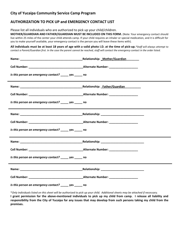#### **City of Yucaipa Community Service Camp Program**

#### **AUTHORIZATION TO PICK UP and EMERGENCY CONTACT LIST**

Please list all individuals who are authorized to pick up your child/children.

**MOTHER/GUARDIAN AND FATHER/GUARDIAN MUST BE INCLUDED ON THIS FORM.** (Note: Your emergency contact should live within 25 miles of the center your child attends camp. If your child requires an inhaler or special medication, and it is difficult for you to make yourself available, your emergency contact is the person you will leave these items with).

**All individuals must be at least 18 years of age with a valid photo I.D. at the time of pick-up.***\*Staff will always attempt to contact a Parent/Guardian first. In the case the parent cannot be reached, staff will contact the emergency contact in the order listed.*

|                                                                                                                | Relationship: Mother/Guardian |
|----------------------------------------------------------------------------------------------------------------|-------------------------------|
|                                                                                                                |                               |
| Is this person an emergency contact? yes no                                                                    |                               |
|                                                                                                                |                               |
|                                                                                                                |                               |
| Is this person an emergency contact? _____ yes _____ no                                                        |                               |
|                                                                                                                |                               |
|                                                                                                                |                               |
| Is this person an emergency contact? _____ yes _____ no                                                        |                               |
|                                                                                                                |                               |
|                                                                                                                |                               |
| Is this person an emergency contact? _____ yes _____ no                                                        |                               |
| Name: Name and Allen and Allen and Allen and Allen and Allen and Allen and Allen and Allen and Allen and Allen |                               |
|                                                                                                                |                               |
| Is this person an emergency contact? _____ yes _____ no                                                        |                               |

\**Only individuals listed on this sheet will be authorized to pick up your child. Additional sheets may be attached if necessary.* **I grant permission for the above-mentioned individuals to pick up my child from camp. I release all liability and responsibility from the City of Yucaipa for any issues that may develop from such persons taking my child from the premises.**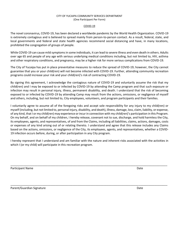#### CITY OF YUCAIPA COMMUNITY SERVICES DEPARTMENT (One Participant Per Form)

#### COVID-19

The novel coronavirus, COVID-19, has been declared a worldwide pandemic by the World Health Organization. COVID-19 is extremely contagious and is believed to spread mainly from person-to-person contact. As a result, federal, state, and local governments and federal and state health agencies recommend social distancing and have, in many locations, prohibited the congregation of groups of people.

While COVID-19 can cause mild symptoms in some individuals, it can lead to severe illness and even death in others. Adults over age 65 and people of any age with serious underlying medical conditions including, but not limited to, HIV, asthma and other respiratory conditions, and pregnancy, may be a higher risk for more serious complications from COVID-19.

The City of Yucaipa has put in place preventative measures to reduce the spread of COVID-19; however, the City cannot guarantee that you or your child(ren) will not become infected with COVID-19. Further, attending community recreation programs could increase your risk and your child(ren)'s risk of contracting COVID-19.

By signing this agreement, I acknowledge the contagious nature of COVID-19 and voluntarily assume the risk that my child(ren) and I may be exposed to or infected by COVID-19 by attending the Camp program and that such exposure or infection may result in personal injury, illness, permanent disability, and death. I understand that the risk of becoming exposed to or infected by COVID-19 by attending Camp may result from the actions, omissions, or negligence of myself and others, including, but not limited to, City employees, volunteers, and program participants and their families.

I voluntarily agree to assume all of the foregoing risks and accept sole responsibility for any injury to my child(ren) or myself (including, but not limited to, personal injury, disability, and death), illness, damage, loss, claim, liability, or expense, of any kind, that I or my child(ren) may experience or incur in connection with my child(ren)'s participation in this Program. On my behalf, and on behalf of my children, I hereby release, covenant not to sue, discharge, and hold harmless the City, its employees, agents, and representatives, of and from the Claims, including all liabilities, claims, actions, damages, costs or expenses of any kind arising out of or relating thereto. I understand and agree that this release includes any Claims based on the actions, omissions, or negligence of the City, its employees, agents, and representatives, whether a COVID-19 infection occurs before, during, or after participation in any City program.

I hereby represent that I understand and am familiar with the nature and inherent risks associated with the activities in which I (or my child) will participate in this recreation program.

\_\_\_\_\_\_\_\_\_\_\_\_\_\_\_\_\_\_\_\_\_\_\_\_\_\_\_\_\_\_\_\_\_\_\_\_\_\_\_\_\_\_\_\_\_\_\_\_\_\_\_\_\_\_\_\_\_\_\_\_\_\_\_\_\_\_\_\_\_\_\_\_\_\_\_\_\_\_\_\_\_\_\_\_\_\_\_\_\_\_\_\_\_\_\_\_\_\_

\_\_\_\_\_\_\_\_\_\_\_\_\_\_\_\_\_\_\_\_\_\_\_\_\_\_\_\_\_\_\_\_\_\_\_\_\_\_\_\_\_\_\_\_\_\_\_\_\_\_\_\_\_\_\_\_\_\_\_\_\_\_\_\_\_\_\_\_\_\_\_\_\_\_\_\_\_\_\_\_\_\_\_\_\_\_\_\_\_\_\_\_\_\_\_\_\_\_

Participant Name Date And Date And Date And Date And Date And Date And Date And Date And Date And Date And Date

Parent/Guardian Signature **Date of American Structure Date** Date of Parent Control of Parent Date Date